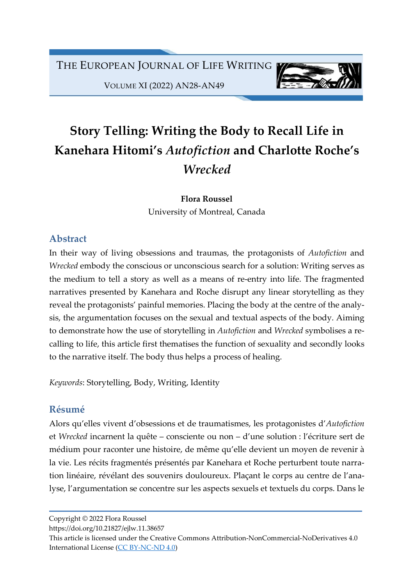

VOLUME XI (2022) AN28-AN49

# Story Telling: Writing the Body to Recall Life in Kanehara Hitomi's Autofiction and Charlotte Roche's **Wrecked**

Flora Roussel University of Montreal, Canada

## Abstract

In their way of living obsessions and traumas, the protagonists of Autofiction and Wrecked embody the conscious or unconscious search for a solution: Writing serves as the medium to tell a story as well as a means of re-entry into life. The fragmented narratives presented by Kanehara and Roche disrupt any linear storytelling as they reveal the protagonists' painful memories. Placing the body at the centre of the analysis, the argumentation focuses on the sexual and textual aspects of the body. Aiming to demonstrate how the use of storytelling in Autofiction and Wrecked symbolises a recalling to life, this article first thematises the function of sexuality and secondly looks to the narrative itself. The body thus helps a process of healing.

Keywords: Storytelling, Body, Writing, Identity

# Résumé

Alors qu'elles vivent d'obsessions et de traumatismes, les protagonistes d'Autofiction et Wrecked incarnent la quête – consciente ou non – d'une solution : l'écriture sert de médium pour raconter une histoire, de même qu'elle devient un moyen de revenir à la vie. Les récits fragmentés présentés par Kanehara et Roche perturbent toute narration linéaire, révélant des souvenirs douloureux. Plaçant le corps au centre de l'analyse, l'argumentation se concentre sur les aspects sexuels et textuels du corps. Dans le

Copyright © 2022 Flora Roussel

https://doi.org/10.21827/ejlw.11.38657

This article is licensed under the Creative Commons Attribution-NonCommercial-NoDerivatives 4.0 International License (CC BY-NC-ND 4.0)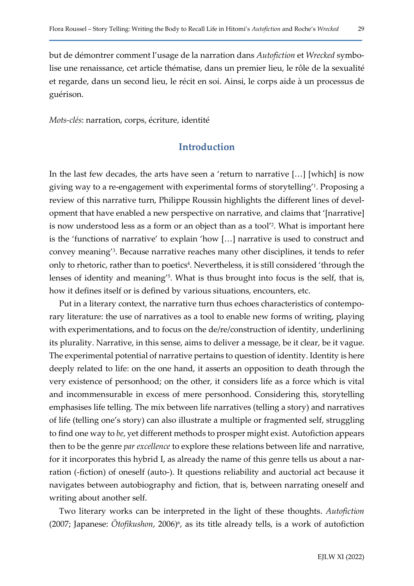but de démontrer comment l'usage de la narration dans Autofiction et Wrecked symbolise une renaissance, cet article thématise, dans un premier lieu, le rôle de la sexualité et regarde, dans un second lieu, le récit en soi. Ainsi, le corps aide à un processus de guérison.

Mots-clés: narration, corps, écriture, identité

## Introduction

In the last few decades, the arts have seen a 'return to narrative […] [which] is now giving way to a re-engagement with experimental forms of storytelling'<sup>1</sup> . Proposing a review of this narrative turn, Philippe Roussin highlights the different lines of development that have enabled a new perspective on narrative, and claims that '[narrative] is now understood less as a form or an object than as a tool'<sup>2</sup> . What is important here is the 'functions of narrative' to explain 'how […] narrative is used to construct and convey meaning'<sup>3</sup> . Because narrative reaches many other disciplines, it tends to refer only to rhetoric, rather than to poetics<sup>4</sup>. Nevertheless, it is still considered 'through the lenses of identity and meaning<sup>'5</sup>. What is thus brought into focus is the self, that is, how it defines itself or is defined by various situations, encounters, etc.

Put in a literary context, the narrative turn thus echoes characteristics of contemporary literature: the use of narratives as a tool to enable new forms of writing, playing with experimentations, and to focus on the de/re/construction of identity, underlining its plurality. Narrative, in this sense, aims to deliver a message, be it clear, be it vague. The experimental potential of narrative pertains to question of identity. Identity is here deeply related to life: on the one hand, it asserts an opposition to death through the very existence of personhood; on the other, it considers life as a force which is vital and incommensurable in excess of mere personhood. Considering this, storytelling emphasises life telling. The mix between life narratives (telling a story) and narratives of life (telling one's story) can also illustrate a multiple or fragmented self, struggling to find one way to be, yet different methods to prosper might exist. Autofiction appears then to be the genre par excellence to explore these relations between life and narrative, for it incorporates this hybrid I, as already the name of this genre tells us about a narration (-fiction) of oneself (auto-). It questions reliability and auctorial act because it navigates between autobiography and fiction, that is, between narrating oneself and writing about another self.

Two literary works can be interpreted in the light of these thoughts. Autofiction  $(2007;$  Japanese: Otofikushon, 2006) $\frac{6}{5}$ , as its title already tells, is a work of autofiction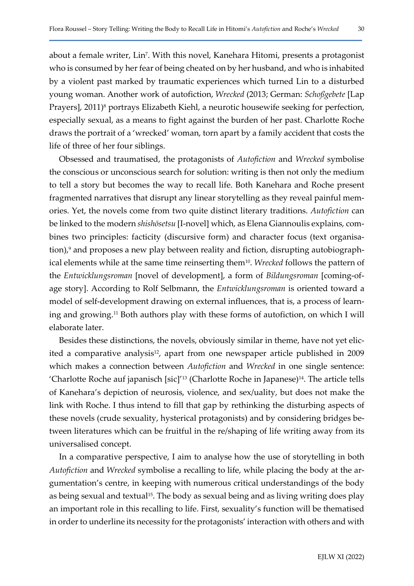about a female writer, Lin<sup>7</sup>. With this novel, Kanehara Hitomi, presents a protagonist who is consumed by her fear of being cheated on by her husband, and who is inhabited by a violent past marked by traumatic experiences which turned Lin to a disturbed young woman. Another work of autofiction, Wrecked (2013; German: Schoßgebete [Lap Prayers], 2011)<sup>8</sup> portrays Elizabeth Kiehl, a neurotic housewife seeking for perfection, especially sexual, as a means to fight against the burden of her past. Charlotte Roche draws the portrait of a 'wrecked' woman, torn apart by a family accident that costs the life of three of her four siblings.

Obsessed and traumatised, the protagonists of Autofiction and Wrecked symbolise the conscious or unconscious search for solution: writing is then not only the medium to tell a story but becomes the way to recall life. Both Kanehara and Roche present fragmented narratives that disrupt any linear storytelling as they reveal painful memories. Yet, the novels come from two quite distinct literary traditions. Autofiction can be linked to the modern shishōsetsu [I-novel] which, as Elena Giannoulis explains, combines two principles: facticity (discursive form) and character focus (text organisation),<sup>9</sup> and proposes a new play between reality and fiction, disrupting autobiographical elements while at the same time reinserting them<sup>10</sup>. Wrecked follows the pattern of the Entwicklungsroman [novel of development], a form of Bildungsroman [coming-ofage story]. According to Rolf Selbmann, the Entwicklungsroman is oriented toward a model of self-development drawing on external influences, that is, a process of learning and growing.11 Both authors play with these forms of autofiction, on which I will elaborate later.

Besides these distinctions, the novels, obviously similar in theme, have not yet elicited a comparative analysis<sup>12</sup>, apart from one newspaper article published in 2009 which makes a connection between *Autofiction* and *Wrecked* in one single sentence: 'Charlotte Roche auf japanisch [sic]<sup>'13</sup> (Charlotte Roche in Japanese)<sup>14</sup>. The article tells of Kanehara's depiction of neurosis, violence, and sex/uality, but does not make the link with Roche. I thus intend to fill that gap by rethinking the disturbing aspects of these novels (crude sexuality, hysterical protagonists) and by considering bridges between literatures which can be fruitful in the re/shaping of life writing away from its universalised concept.

In a comparative perspective, I aim to analyse how the use of storytelling in both Autofiction and Wrecked symbolise a recalling to life, while placing the body at the argumentation's centre, in keeping with numerous critical understandings of the body as being sexual and textual<sup>15</sup>. The body as sexual being and as living writing does play an important role in this recalling to life. First, sexuality's function will be thematised in order to underline its necessity for the protagonists' interaction with others and with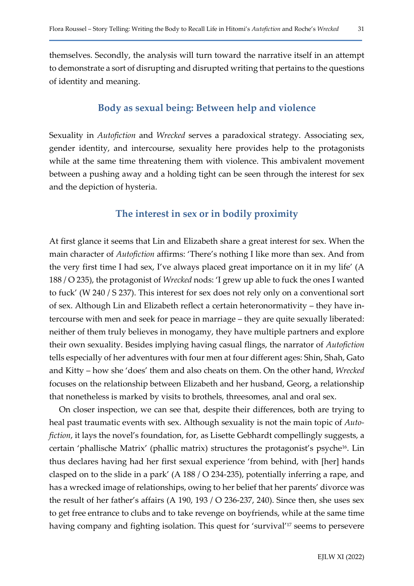themselves. Secondly, the analysis will turn toward the narrative itself in an attempt to demonstrate a sort of disrupting and disrupted writing that pertains to the questions of identity and meaning.

#### Body as sexual being: Between help and violence

Sexuality in Autofiction and Wrecked serves a paradoxical strategy. Associating sex, gender identity, and intercourse, sexuality here provides help to the protagonists while at the same time threatening them with violence. This ambivalent movement between a pushing away and a holding tight can be seen through the interest for sex and the depiction of hysteria.

#### The interest in sex or in bodily proximity

At first glance it seems that Lin and Elizabeth share a great interest for sex. When the main character of Autofiction affirms: 'There's nothing I like more than sex. And from the very first time I had sex, I've always placed great importance on it in my life' (A 188 / O 235), the protagonist of Wrecked nods: 'I grew up able to fuck the ones I wanted to fuck' (W 240 / S 237). This interest for sex does not rely only on a conventional sort of sex. Although Lin and Elizabeth reflect a certain heteronormativity – they have intercourse with men and seek for peace in marriage – they are quite sexually liberated: neither of them truly believes in monogamy, they have multiple partners and explore their own sexuality. Besides implying having casual flings, the narrator of Autofiction tells especially of her adventures with four men at four different ages: Shin, Shah, Gato and Kitty – how she 'does' them and also cheats on them. On the other hand, Wrecked focuses on the relationship between Elizabeth and her husband, Georg, a relationship that nonetheless is marked by visits to brothels, threesomes, anal and oral sex.

On closer inspection, we can see that, despite their differences, both are trying to heal past traumatic events with sex. Although sexuality is not the main topic of Autofiction, it lays the novel's foundation, for, as Lisette Gebhardt compellingly suggests, a certain 'phallische Matrix' (phallic matrix) structures the protagonist's psyche<sup>16</sup>. Lin thus declares having had her first sexual experience 'from behind, with [her] hands clasped on to the slide in a park' (A 188 / O 234-235), potentially inferring a rape, and has a wrecked image of relationships, owing to her belief that her parents' divorce was the result of her father's affairs (A 190, 193 / O 236-237, 240). Since then, she uses sex to get free entrance to clubs and to take revenge on boyfriends, while at the same time having company and fighting isolation. This quest for 'survival'17 seems to persevere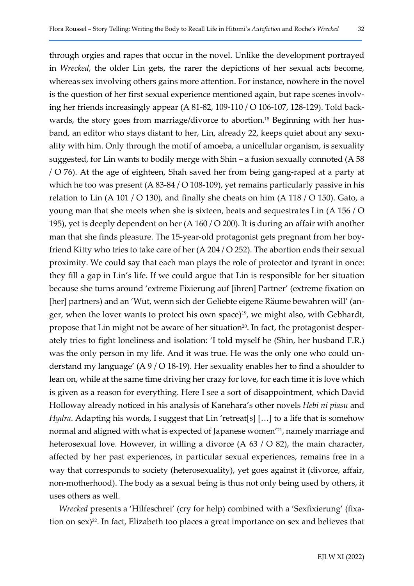through orgies and rapes that occur in the novel. Unlike the development portrayed in Wrecked, the older Lin gets, the rarer the depictions of her sexual acts become, whereas sex involving others gains more attention. For instance, nowhere in the novel is the question of her first sexual experience mentioned again, but rape scenes involving her friends increasingly appear (A 81-82, 109-110 / O 106-107, 128-129). Told backwards, the story goes from marriage/divorce to abortion.<sup>18</sup> Beginning with her husband, an editor who stays distant to her, Lin, already 22, keeps quiet about any sexuality with him. Only through the motif of amoeba, a unicellular organism, is sexuality suggested, for Lin wants to bodily merge with Shin – a fusion sexually connoted (A 58 / O 76). At the age of eighteen, Shah saved her from being gang-raped at a party at which he too was present (A 83-84 / O 108-109), yet remains particularly passive in his relation to Lin (A 101 / O 130), and finally she cheats on him (A 118 / O 150). Gato, a young man that she meets when she is sixteen, beats and sequestrates Lin (A 156 / O 195), yet is deeply dependent on her (A 160 / O 200). It is during an affair with another man that she finds pleasure. The 15-year-old protagonist gets pregnant from her boyfriend Kitty who tries to take care of her (A 204 / O 252). The abortion ends their sexual proximity. We could say that each man plays the role of protector and tyrant in once: they fill a gap in Lin's life. If we could argue that Lin is responsible for her situation because she turns around 'extreme Fixierung auf [ihren] Partner' (extreme fixation on [her] partners) and an 'Wut, wenn sich der Geliebte eigene Räume bewahren will' (anger, when the lover wants to protect his own space)<sup>19</sup>, we might also, with Gebhardt, propose that Lin might not be aware of her situation<sup>20</sup>. In fact, the protagonist desperately tries to fight loneliness and isolation: 'I told myself he (Shin, her husband F.R.) was the only person in my life. And it was true. He was the only one who could understand my language' (A 9 / O 18-19). Her sexuality enables her to find a shoulder to lean on, while at the same time driving her crazy for love, for each time it is love which is given as a reason for everything. Here I see a sort of disappointment, which David Holloway already noticed in his analysis of Kanehara's other novels Hebi ni piasu and Hydra. Adapting his words, I suggest that Lin 'retreat[s] [...] to a life that is somehow normal and aligned with what is expected of Japanese women'21, namely marriage and heterosexual love. However, in willing a divorce (A 63 / O 82), the main character, affected by her past experiences, in particular sexual experiences, remains free in a way that corresponds to society (heterosexuality), yet goes against it (divorce, affair, non-motherhood). The body as a sexual being is thus not only being used by others, it uses others as well.

Wrecked presents a 'Hilfeschrei' (cry for help) combined with a 'Sexfixierung' (fixation on  $sex$ )<sup>22</sup>. In fact, Elizabeth too places a great importance on sex and believes that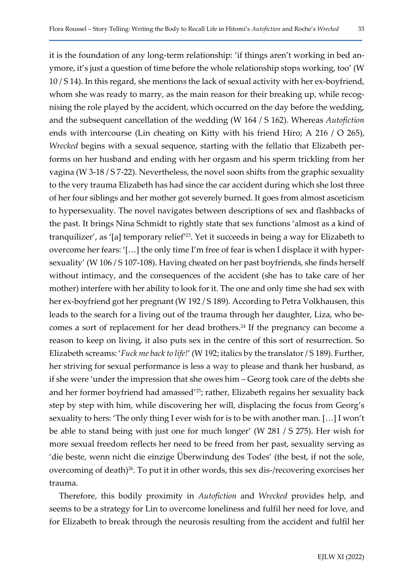it is the foundation of any long-term relationship: 'if things aren't working in bed anymore, it's just a question of time before the whole relationship stops working, too' (W 10 / S 14). In this regard, she mentions the lack of sexual activity with her ex-boyfriend, whom she was ready to marry, as the main reason for their breaking up, while recognising the role played by the accident, which occurred on the day before the wedding, and the subsequent cancellation of the wedding (W 164 / S 162). Whereas Autofiction ends with intercourse (Lin cheating on Kitty with his friend Hiro; A 216 / O 265), Wrecked begins with a sexual sequence, starting with the fellatio that Elizabeth performs on her husband and ending with her orgasm and his sperm trickling from her vagina (W 3-18 / S 7-22). Nevertheless, the novel soon shifts from the graphic sexuality to the very trauma Elizabeth has had since the car accident during which she lost three of her four siblings and her mother got severely burned. It goes from almost asceticism to hypersexuality. The novel navigates between descriptions of sex and flashbacks of the past. It brings Nina Schmidt to rightly state that sex functions 'almost as a kind of tranquilizer', as '[a] temporary relief'23. Yet it succeeds in being a way for Elizabeth to overcome her fears: '[…] the only time I'm free of fear is when I displace it with hypersexuality' (W 106 / S 107-108). Having cheated on her past boyfriends, she finds herself without intimacy, and the consequences of the accident (she has to take care of her mother) interfere with her ability to look for it. The one and only time she had sex with her ex-boyfriend got her pregnant (W 192 / S 189). According to Petra Volkhausen, this leads to the search for a living out of the trauma through her daughter, Liza, who becomes a sort of replacement for her dead brothers.<sup>24</sup> If the pregnancy can become a reason to keep on living, it also puts sex in the centre of this sort of resurrection. So Elizabeth screams: '*Fuck me back to life!'* (W 192; italics by the translator / S 189). Further, her striving for sexual performance is less a way to please and thank her husband, as if she were 'under the impression that she owes him – Georg took care of the debts she and her former boyfriend had amassed'25; rather, Elizabeth regains her sexuality back step by step with him, while discovering her will, displacing the focus from Georg's sexuality to hers: 'The only thing I ever wish for is to be with another man. […] I won't be able to stand being with just one for much longer' (W 281 / S 275). Her wish for more sexual freedom reflects her need to be freed from her past, sexuality serving as 'die beste, wenn nicht die einzige Überwindung des Todes' (the best, if not the sole, overcoming of death)26. To put it in other words, this sex dis-/recovering exorcises her trauma.

Therefore, this bodily proximity in Autofiction and Wrecked provides help, and seems to be a strategy for Lin to overcome loneliness and fulfil her need for love, and for Elizabeth to break through the neurosis resulting from the accident and fulfil her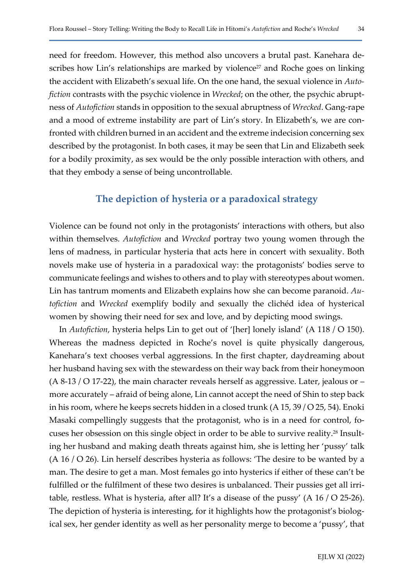need for freedom. However, this method also uncovers a brutal past. Kanehara describes how Lin's relationships are marked by violence<sup>27</sup> and Roche goes on linking the accident with Elizabeth's sexual life. On the one hand, the sexual violence in Autofiction contrasts with the psychic violence in Wrecked; on the other, the psychic abruptness of Autofiction stands in opposition to the sexual abruptness of Wrecked. Gang-rape and a mood of extreme instability are part of Lin's story. In Elizabeth's, we are confronted with children burned in an accident and the extreme indecision concerning sex described by the protagonist. In both cases, it may be seen that Lin and Elizabeth seek for a bodily proximity, as sex would be the only possible interaction with others, and that they embody a sense of being uncontrollable.

#### The depiction of hysteria or a paradoxical strategy

Violence can be found not only in the protagonists' interactions with others, but also within themselves. Autofiction and Wrecked portray two young women through the lens of madness, in particular hysteria that acts here in concert with sexuality. Both novels make use of hysteria in a paradoxical way: the protagonists' bodies serve to communicate feelings and wishes to others and to play with stereotypes about women. Lin has tantrum moments and Elizabeth explains how she can become paranoid. Autofiction and Wrecked exemplify bodily and sexually the clichéd idea of hysterical women by showing their need for sex and love, and by depicting mood swings.

In Autofiction, hysteria helps Lin to get out of '[her] lonely island' (A 118 / O 150). Whereas the madness depicted in Roche's novel is quite physically dangerous, Kanehara's text chooses verbal aggressions. In the first chapter, daydreaming about her husband having sex with the stewardess on their way back from their honeymoon  $(A 8-13 / O 17-22)$ , the main character reveals herself as aggressive. Later, jealous or – more accurately – afraid of being alone, Lin cannot accept the need of Shin to step back in his room, where he keeps secrets hidden in a closed trunk (A 15, 39 / O 25, 54). Enoki Masaki compellingly suggests that the protagonist, who is in a need for control, focuses her obsession on this single object in order to be able to survive reality.28 Insulting her husband and making death threats against him, she is letting her 'pussy' talk (A 16 / O 26). Lin herself describes hysteria as follows: 'The desire to be wanted by a man. The desire to get a man. Most females go into hysterics if either of these can't be fulfilled or the fulfilment of these two desires is unbalanced. Their pussies get all irritable, restless. What is hysteria, after all? It's a disease of the pussy' (A 16 / O 25-26). The depiction of hysteria is interesting, for it highlights how the protagonist's biological sex, her gender identity as well as her personality merge to become a 'pussy', that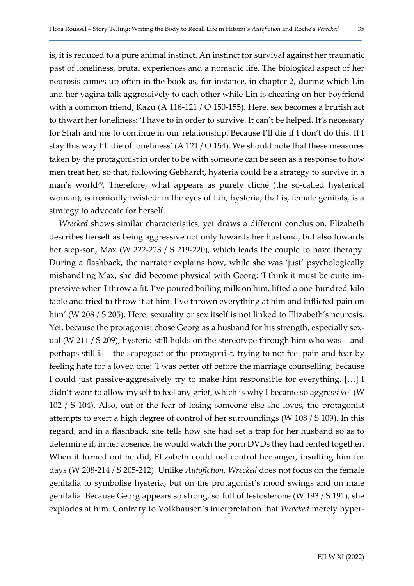is, it is reduced to a pure animal instinct. An instinct for survival against her traumatic past of loneliness, brutal experiences and a nomadic life. The biological aspect of her neurosis comes up often in the book as, for instance, in chapter 2, during which Lin and her vagina talk aggressively to each other while Lin is cheating on her boyfriend with a common friend, Kazu (A 118-121 / O 150-155). Here, sex becomes a brutish act to thwart her loneliness: 'I have to in order to survive. It can't be helped. It's necessary for Shah and me to continue in our relationship. Because I'll die if I don't do this. If I stay this way I'll die of loneliness' (A 121 / O 154). We should note that these measures taken by the protagonist in order to be with someone can be seen as a response to how men treat her, so that, following Gebhardt, hysteria could be a strategy to survive in a man's world<sup>29</sup>. Therefore, what appears as purely cliché (the so-called hysterical woman), is ironically twisted: in the eyes of Lin, hysteria, that is, female genitals, is a strategy to advocate for herself.

Wrecked shows similar characteristics, yet draws a different conclusion. Elizabeth describes herself as being aggressive not only towards her husband, but also towards her step-son, Max (W 222-223 / S 219-220), which leads the couple to have therapy. During a flashback, the narrator explains how, while she was 'just' psychologically mishandling Max, she did become physical with Georg: 'I think it must be quite impressive when I throw a fit. I've poured boiling milk on him, lifted a one-hundred-kilo table and tried to throw it at him. I've thrown everything at him and inflicted pain on him' (W 208 / S 205). Here, sexuality or sex itself is not linked to Elizabeth's neurosis. Yet, because the protagonist chose Georg as a husband for his strength, especially sexual (W 211 / S 209), hysteria still holds on the stereotype through him who was – and perhaps still is – the scapegoat of the protagonist, trying to not feel pain and fear by feeling hate for a loved one: 'I was better off before the marriage counselling, because I could just passive-aggressively try to make him responsible for everything. […] I didn't want to allow myself to feel any grief, which is why I became so aggressive' (W 102 / S 104). Also, out of the fear of losing someone else she loves, the protagonist attempts to exert a high degree of control of her surroundings (W 108 / S 109). In this regard, and in a flashback, she tells how she had set a trap for her husband so as to determine if, in her absence, he would watch the porn DVDs they had rented together. When it turned out he did, Elizabeth could not control her anger, insulting him for days (W 208-214 / S 205-212). Unlike Autofiction, Wrecked does not focus on the female genitalia to symbolise hysteria, but on the protagonist's mood swings and on male genitalia. Because Georg appears so strong, so full of testosterone (W 193 / S 191), she explodes at him. Contrary to Volkhausen's interpretation that Wrecked merely hyper-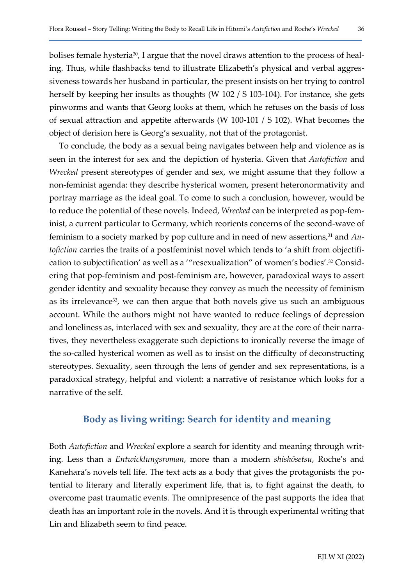bolises female hysteria<sup>30</sup>, I argue that the novel draws attention to the process of healing. Thus, while flashbacks tend to illustrate Elizabeth's physical and verbal aggressiveness towards her husband in particular, the present insists on her trying to control herself by keeping her insults as thoughts (W 102 / S 103-104). For instance, she gets pinworms and wants that Georg looks at them, which he refuses on the basis of loss of sexual attraction and appetite afterwards (W 100-101 / S 102). What becomes the object of derision here is Georg's sexuality, not that of the protagonist.

To conclude, the body as a sexual being navigates between help and violence as is seen in the interest for sex and the depiction of hysteria. Given that Autofiction and Wrecked present stereotypes of gender and sex, we might assume that they follow a non-feminist agenda: they describe hysterical women, present heteronormativity and portray marriage as the ideal goal. To come to such a conclusion, however, would be to reduce the potential of these novels. Indeed, Wrecked can be interpreted as pop-feminist, a current particular to Germany, which reorients concerns of the second-wave of feminism to a society marked by pop culture and in need of new assertions,<sup>31</sup> and  $Au$ tofiction carries the traits of a postfeminist novel which tends to 'a shift from objectification to subjectification' as well as a '"resexualization" of women's bodies'.32 Considering that pop-feminism and post-feminism are, however, paradoxical ways to assert gender identity and sexuality because they convey as much the necessity of feminism as its irrelevance<sup>33</sup>, we can then argue that both novels give us such an ambiguous account. While the authors might not have wanted to reduce feelings of depression and loneliness as, interlaced with sex and sexuality, they are at the core of their narratives, they nevertheless exaggerate such depictions to ironically reverse the image of the so-called hysterical women as well as to insist on the difficulty of deconstructing stereotypes. Sexuality, seen through the lens of gender and sex representations, is a paradoxical strategy, helpful and violent: a narrative of resistance which looks for a narrative of the self.

#### Body as living writing: Search for identity and meaning

Both Autofiction and Wrecked explore a search for identity and meaning through writing. Less than a Entwicklungsroman, more than a modern shishōsetsu, Roche's and Kanehara's novels tell life. The text acts as a body that gives the protagonists the potential to literary and literally experiment life, that is, to fight against the death, to overcome past traumatic events. The omnipresence of the past supports the idea that death has an important role in the novels. And it is through experimental writing that Lin and Elizabeth seem to find peace.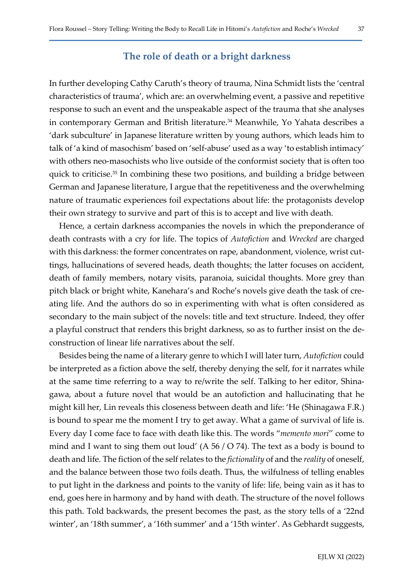#### The role of death or a bright darkness

In further developing Cathy Caruth's theory of trauma, Nina Schmidt lists the 'central characteristics of trauma', which are: an overwhelming event, a passive and repetitive response to such an event and the unspeakable aspect of the trauma that she analyses in contemporary German and British literature.<sup>34</sup> Meanwhile, Yo Yahata describes a 'dark subculture' in Japanese literature written by young authors, which leads him to talk of 'a kind of masochism' based on 'self-abuse' used as a way 'to establish intimacy' with others neo-masochists who live outside of the conformist society that is often too quick to criticise.35 In combining these two positions, and building a bridge between German and Japanese literature, I argue that the repetitiveness and the overwhelming nature of traumatic experiences foil expectations about life: the protagonists develop their own strategy to survive and part of this is to accept and live with death.

Hence, a certain darkness accompanies the novels in which the preponderance of death contrasts with a cry for life. The topics of Autofiction and Wrecked are charged with this darkness: the former concentrates on rape, abandonment, violence, wrist cuttings, hallucinations of severed heads, death thoughts; the latter focuses on accident, death of family members, notary visits, paranoia, suicidal thoughts. More grey than pitch black or bright white, Kanehara's and Roche's novels give death the task of creating life. And the authors do so in experimenting with what is often considered as secondary to the main subject of the novels: title and text structure. Indeed, they offer a playful construct that renders this bright darkness, so as to further insist on the deconstruction of linear life narratives about the self.

Besides being the name of a literary genre to which I will later turn, Autofiction could be interpreted as a fiction above the self, thereby denying the self, for it narrates while at the same time referring to a way to re/write the self. Talking to her editor, Shinagawa, about a future novel that would be an autofiction and hallucinating that he might kill her, Lin reveals this closeness between death and life: 'He (Shinagawa F.R.) is bound to spear me the moment I try to get away. What a game of survival of life is. Every day I come face to face with death like this. The words "memento mori" come to mind and I want to sing them out loud' (A 56 / O 74). The text as a body is bound to death and life. The fiction of the self relates to the fictionality of and the reality of oneself, and the balance between those two foils death. Thus, the wilfulness of telling enables to put light in the darkness and points to the vanity of life: life, being vain as it has to end, goes here in harmony and by hand with death. The structure of the novel follows this path. Told backwards, the present becomes the past, as the story tells of a '22nd winter', an '18th summer', a '16th summer' and a '15th winter'. As Gebhardt suggests,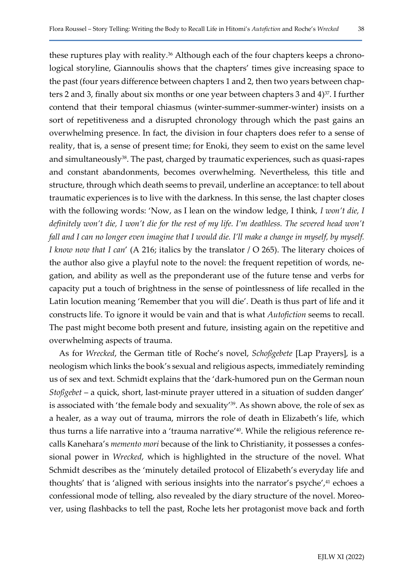these ruptures play with reality.<sup>36</sup> Although each of the four chapters keeps a chronological storyline, Giannoulis shows that the chapters' times give increasing space to the past (four years difference between chapters 1 and 2, then two years between chapters 2 and 3, finally about six months or one year between chapters 3 and  $4$ <sup>37</sup>. I further contend that their temporal chiasmus (winter-summer-summer-winter) insists on a sort of repetitiveness and a disrupted chronology through which the past gains an overwhelming presence. In fact, the division in four chapters does refer to a sense of reality, that is, a sense of present time; for Enoki, they seem to exist on the same level and simultaneously<sup>38</sup>. The past, charged by traumatic experiences, such as quasi-rapes and constant abandonments, becomes overwhelming. Nevertheless, this title and structure, through which death seems to prevail, underline an acceptance: to tell about traumatic experiences is to live with the darkness. In this sense, the last chapter closes with the following words: 'Now, as I lean on the window ledge, I think, I won't die, I definitely won't die, I won't die for the rest of my life. I'm deathless. The severed head won't fall and I can no longer even imagine that I would die. I'll make a change in myself, by myself. I know now that I can' (A 216; italics by the translator / O 265). The literary choices of the author also give a playful note to the novel: the frequent repetition of words, negation, and ability as well as the preponderant use of the future tense and verbs for capacity put a touch of brightness in the sense of pointlessness of life recalled in the Latin locution meaning 'Remember that you will die'. Death is thus part of life and it constructs life. To ignore it would be vain and that is what Autofiction seems to recall. The past might become both present and future, insisting again on the repetitive and overwhelming aspects of trauma.

As for Wrecked, the German title of Roche's novel, Schoßgebete [Lap Prayers], is a neologism which links the book's sexual and religious aspects, immediately reminding us of sex and text. Schmidt explains that the 'dark-humored pun on the German noun Stoßgebet – a quick, short, last-minute prayer uttered in a situation of sudden danger' is associated with 'the female body and sexuality'<sup>39</sup>. As shown above, the role of sex as a healer, as a way out of trauma, mirrors the role of death in Elizabeth's life, which thus turns a life narrative into a 'trauma narrative'40. While the religious reference recalls Kanehara's memento mori because of the link to Christianity, it possesses a confessional power in Wrecked, which is highlighted in the structure of the novel. What Schmidt describes as the 'minutely detailed protocol of Elizabeth's everyday life and thoughts' that is 'aligned with serious insights into the narrator's psyche',<sup>41</sup> echoes a confessional mode of telling, also revealed by the diary structure of the novel. Moreover, using flashbacks to tell the past, Roche lets her protagonist move back and forth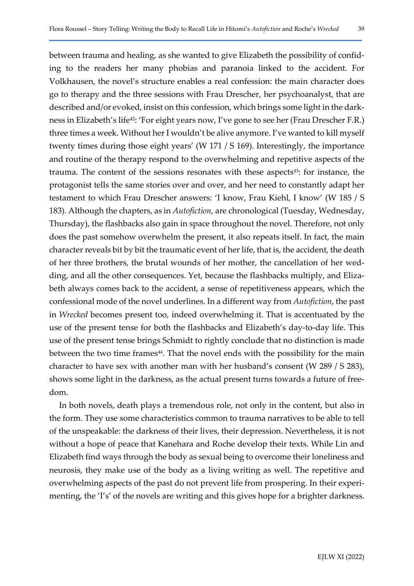between trauma and healing, as she wanted to give Elizabeth the possibility of confiding to the readers her many phobias and paranoia linked to the accident. For Volkhausen, the novel's structure enables a real confession: the main character does go to therapy and the three sessions with Frau Drescher, her psychoanalyst, that are described and/or evoked, insist on this confession, which brings some light in the darkness in Elizabeth's life<sup>42</sup>: 'For eight years now, I've gone to see her (Frau Drescher F.R.) three times a week. Without her I wouldn't be alive anymore. I've wanted to kill myself twenty times during those eight years' (W 171 / S 169). Interestingly, the importance and routine of the therapy respond to the overwhelming and repetitive aspects of the trauma. The content of the sessions resonates with these aspects<sup>43</sup>: for instance, the protagonist tells the same stories over and over, and her need to constantly adapt her testament to which Frau Drescher answers: 'I know, Frau Kiehl, I know' (W 185 / S 183). Although the chapters, as in Autofiction, are chronological (Tuesday, Wednesday, Thursday), the flashbacks also gain in space throughout the novel. Therefore, not only does the past somehow overwhelm the present, it also repeats itself. In fact, the main character reveals bit by bit the traumatic event of her life, that is, the accident, the death of her three brothers, the brutal wounds of her mother, the cancellation of her wedding, and all the other consequences. Yet, because the flashbacks multiply, and Elizabeth always comes back to the accident, a sense of repetitiveness appears, which the confessional mode of the novel underlines. In a different way from Autofiction, the past in Wrecked becomes present too, indeed overwhelming it. That is accentuated by the use of the present tense for both the flashbacks and Elizabeth's day-to-day life. This use of the present tense brings Schmidt to rightly conclude that no distinction is made between the two time frames<sup>44</sup>. That the novel ends with the possibility for the main character to have sex with another man with her husband's consent (W 289 / S 283), shows some light in the darkness, as the actual present turns towards a future of freedom.

In both novels, death plays a tremendous role, not only in the content, but also in the form. They use some characteristics common to trauma narratives to be able to tell of the unspeakable: the darkness of their lives, their depression. Nevertheless, it is not without a hope of peace that Kanehara and Roche develop their texts. While Lin and Elizabeth find ways through the body as sexual being to overcome their loneliness and neurosis, they make use of the body as a living writing as well. The repetitive and overwhelming aspects of the past do not prevent life from prospering. In their experimenting, the 'I's' of the novels are writing and this gives hope for a brighter darkness.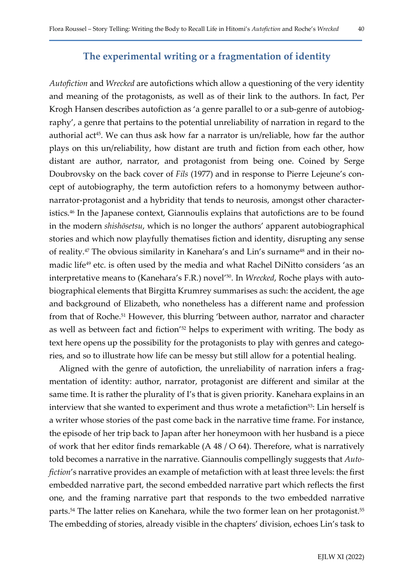#### The experimental writing or a fragmentation of identity

Autofiction and Wrecked are autofictions which allow a questioning of the very identity and meaning of the protagonists, as well as of their link to the authors. In fact, Per Krogh Hansen describes autofiction as 'a genre parallel to or a sub-genre of autobiography', a genre that pertains to the potential unreliability of narration in regard to the authorial act<sup>45</sup>. We can thus ask how far a narrator is un/reliable, how far the author plays on this un/reliability, how distant are truth and fiction from each other, how distant are author, narrator, and protagonist from being one. Coined by Serge Doubrovsky on the back cover of Fils (1977) and in response to Pierre Lejeune's concept of autobiography, the term autofiction refers to a homonymy between authornarrator-protagonist and a hybridity that tends to neurosis, amongst other characteristics.46 In the Japanese context, Giannoulis explains that autofictions are to be found in the modern shishōsetsu, which is no longer the authors' apparent autobiographical stories and which now playfully thematises fiction and identity, disrupting any sense of reality.47 The obvious similarity in Kanehara's and Lin's surname48 and in their nomadic life<sup>49</sup> etc. is often used by the media and what Rachel DiNitto considers 'as an interpretative means to (Kanehara's F.R.) novel<sup>'50</sup>. In Wrecked, Roche plays with autobiographical elements that Birgitta Krumrey summarises as such: the accident, the age and background of Elizabeth, who nonetheless has a different name and profession from that of Roche.<sup>51</sup> However, this blurring 'between author, narrator and character as well as between fact and fiction<sup>'52</sup> helps to experiment with writing. The body as text here opens up the possibility for the protagonists to play with genres and categories, and so to illustrate how life can be messy but still allow for a potential healing.

Aligned with the genre of autofiction, the unreliability of narration infers a fragmentation of identity: author, narrator, protagonist are different and similar at the same time. It is rather the plurality of I's that is given priority. Kanehara explains in an interview that she wanted to experiment and thus wrote a metafiction<sup>53</sup>: Lin herself is a writer whose stories of the past come back in the narrative time frame. For instance, the episode of her trip back to Japan after her honeymoon with her husband is a piece of work that her editor finds remarkable (A 48 / O 64). Therefore, what is narratively told becomes a narrative in the narrative. Giannoulis compellingly suggests that Autofiction's narrative provides an example of metafiction with at least three levels: the first embedded narrative part, the second embedded narrative part which reflects the first one, and the framing narrative part that responds to the two embedded narrative parts.<sup>54</sup> The latter relies on Kanehara, while the two former lean on her protagonist.<sup>55</sup> The embedding of stories, already visible in the chapters' division, echoes Lin's task to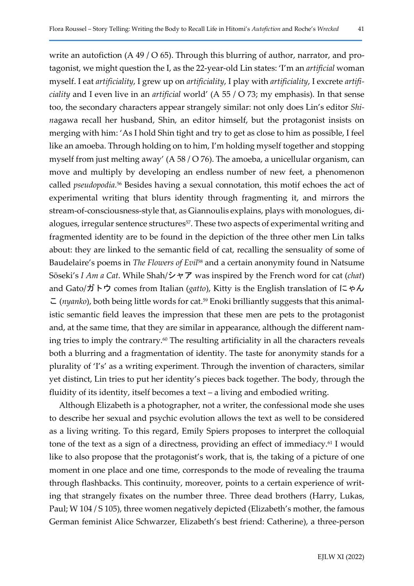write an autofiction  $(A 49 / O 65)$ . Through this blurring of author, narrator, and protagonist, we might question the I, as the 22-year-old Lin states: 'I'm an artificial woman myself. I eat artificiality, I grew up on artificiality, I play with artificiality, I excrete artifi*ciality* and I even live in an *artificial* world' (A 55 / O 73; my emphasis). In that sense too, the secondary characters appear strangely similar: not only does Lin's editor Shinagawa recall her husband, Shin, an editor himself, but the protagonist insists on merging with him: 'As I hold Shin tight and try to get as close to him as possible, I feel like an amoeba. Through holding on to him, I'm holding myself together and stopping myself from just melting away' (A 58 / O 76). The amoeba, a unicellular organism, can move and multiply by developing an endless number of new feet, a phenomenon called *pseudopodia*.<sup>56</sup> Besides having a sexual connotation, this motif echoes the act of experimental writing that blurs identity through fragmenting it, and mirrors the stream-of-consciousness-style that, as Giannoulis explains, plays with monologues, dialogues, irregular sentence structures<sup>57</sup>. These two aspects of experimental writing and fragmented identity are to be found in the depiction of the three other men Lin talks about: they are linked to the semantic field of cat, recalling the sensuality of some of Baudelaire's poems in The Flowers of Evil<sup>58</sup> and a certain anonymity found in Natsume Sōseki's I Am a Cat. While Shah/シャア was inspired by the French word for cat (chat) and Gato/ガトウ comes from Italian (gatto), Kitty is the English translation of にゃん  $\subset$  (*nyanko*), both being little words for cat.<sup>59</sup> Enoki brilliantly suggests that this animalistic semantic field leaves the impression that these men are pets to the protagonist and, at the same time, that they are similar in appearance, although the different naming tries to imply the contrary.60 The resulting artificiality in all the characters reveals both a blurring and a fragmentation of identity. The taste for anonymity stands for a plurality of 'I's' as a writing experiment. Through the invention of characters, similar yet distinct, Lin tries to put her identity's pieces back together. The body, through the fluidity of its identity, itself becomes a text – a living and embodied writing.

Although Elizabeth is a photographer, not a writer, the confessional mode she uses to describe her sexual and psychic evolution allows the text as well to be considered as a living writing. To this regard, Emily Spiers proposes to interpret the colloquial tone of the text as a sign of a directness, providing an effect of immediacy.<sup>61</sup> I would like to also propose that the protagonist's work, that is, the taking of a picture of one moment in one place and one time, corresponds to the mode of revealing the trauma through flashbacks. This continuity, moreover, points to a certain experience of writing that strangely fixates on the number three. Three dead brothers (Harry, Lukas, Paul; W 104 / S 105), three women negatively depicted (Elizabeth's mother, the famous German feminist Alice Schwarzer, Elizabeth's best friend: Catherine), a three-person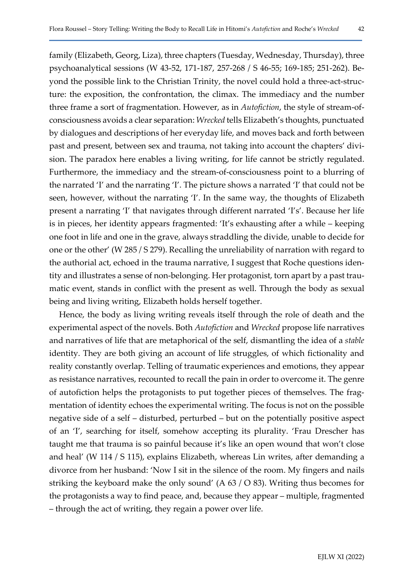family (Elizabeth, Georg, Liza), three chapters (Tuesday, Wednesday, Thursday), three psychoanalytical sessions (W 43-52, 171-187, 257-268 / S 46-55; 169-185; 251-262). Beyond the possible link to the Christian Trinity, the novel could hold a three-act-structure: the exposition, the confrontation, the climax. The immediacy and the number three frame a sort of fragmentation. However, as in Autofiction, the style of stream-ofconsciousness avoids a clear separation: Wrecked tells Elizabeth's thoughts, punctuated by dialogues and descriptions of her everyday life, and moves back and forth between past and present, between sex and trauma, not taking into account the chapters' division. The paradox here enables a living writing, for life cannot be strictly regulated. Furthermore, the immediacy and the stream-of-consciousness point to a blurring of the narrated 'I' and the narrating 'I'. The picture shows a narrated 'I' that could not be seen, however, without the narrating 'I'. In the same way, the thoughts of Elizabeth present a narrating 'I' that navigates through different narrated 'I's'. Because her life is in pieces, her identity appears fragmented: 'It's exhausting after a while – keeping one foot in life and one in the grave, always straddling the divide, unable to decide for one or the other' (W 285 / S 279). Recalling the unreliability of narration with regard to the authorial act, echoed in the trauma narrative, I suggest that Roche questions identity and illustrates a sense of non-belonging. Her protagonist, torn apart by a past traumatic event, stands in conflict with the present as well. Through the body as sexual being and living writing, Elizabeth holds herself together.

Hence, the body as living writing reveals itself through the role of death and the experimental aspect of the novels. Both Autofiction and Wrecked propose life narratives and narratives of life that are metaphorical of the self, dismantling the idea of a stable identity. They are both giving an account of life struggles, of which fictionality and reality constantly overlap. Telling of traumatic experiences and emotions, they appear as resistance narratives, recounted to recall the pain in order to overcome it. The genre of autofiction helps the protagonists to put together pieces of themselves. The fragmentation of identity echoes the experimental writing. The focus is not on the possible negative side of a self – disturbed, perturbed – but on the potentially positive aspect of an 'I', searching for itself, somehow accepting its plurality. 'Frau Drescher has taught me that trauma is so painful because it's like an open wound that won't close and heal' (W 114 / S 115), explains Elizabeth, whereas Lin writes, after demanding a divorce from her husband: 'Now I sit in the silence of the room. My fingers and nails striking the keyboard make the only sound' (A 63 / O 83). Writing thus becomes for the protagonists a way to find peace, and, because they appear – multiple, fragmented – through the act of writing, they regain a power over life.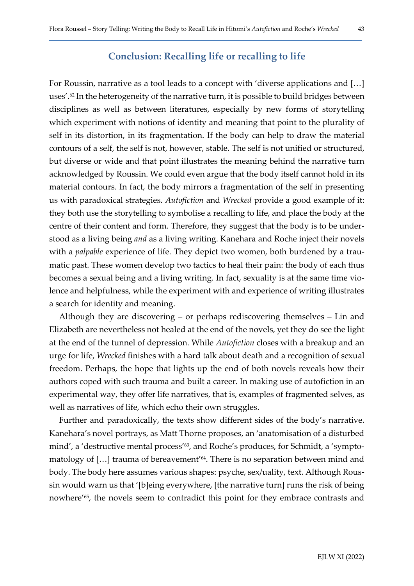#### Conclusion: Recalling life or recalling to life

For Roussin, narrative as a tool leads to a concept with 'diverse applications and […] uses'.62 In the heterogeneity of the narrative turn, it is possible to build bridges between disciplines as well as between literatures, especially by new forms of storytelling which experiment with notions of identity and meaning that point to the plurality of self in its distortion, in its fragmentation. If the body can help to draw the material contours of a self, the self is not, however, stable. The self is not unified or structured, but diverse or wide and that point illustrates the meaning behind the narrative turn acknowledged by Roussin. We could even argue that the body itself cannot hold in its material contours. In fact, the body mirrors a fragmentation of the self in presenting us with paradoxical strategies. Autofiction and Wrecked provide a good example of it: they both use the storytelling to symbolise a recalling to life, and place the body at the centre of their content and form. Therefore, they suggest that the body is to be understood as a living being and as a living writing. Kanehara and Roche inject their novels with a *palpable* experience of life. They depict two women, both burdened by a traumatic past. These women develop two tactics to heal their pain: the body of each thus becomes a sexual being and a living writing. In fact, sexuality is at the same time violence and helpfulness, while the experiment with and experience of writing illustrates a search for identity and meaning.

Although they are discovering – or perhaps rediscovering themselves – Lin and Elizabeth are nevertheless not healed at the end of the novels, yet they do see the light at the end of the tunnel of depression. While Autofiction closes with a breakup and an urge for life, Wrecked finishes with a hard talk about death and a recognition of sexual freedom. Perhaps, the hope that lights up the end of both novels reveals how their authors coped with such trauma and built a career. In making use of autofiction in an experimental way, they offer life narratives, that is, examples of fragmented selves, as well as narratives of life, which echo their own struggles.

Further and paradoxically, the texts show different sides of the body's narrative. Kanehara's novel portrays, as Matt Thorne proposes, an 'anatomisation of a disturbed mind', a 'destructive mental process'<sup>63</sup>, and Roche's produces, for Schmidt, a 'symptomatology of [...] trauma of bereavement<sup>'64</sup>. There is no separation between mind and body. The body here assumes various shapes: psyche, sex/uality, text. Although Roussin would warn us that '[b]eing everywhere, [the narrative turn] runs the risk of being nowhere'65, the novels seem to contradict this point for they embrace contrasts and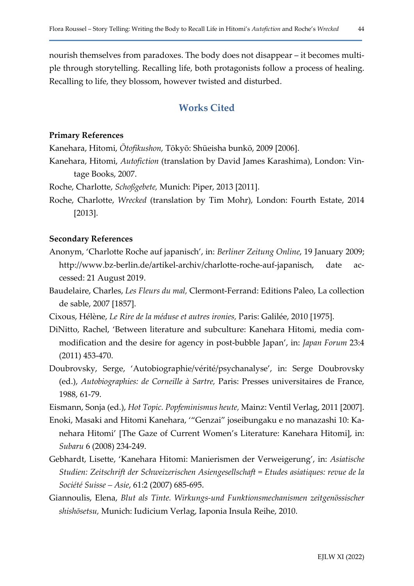nourish themselves from paradoxes. The body does not disappear – it becomes multiple through storytelling. Recalling life, both protagonists follow a process of healing. Recalling to life, they blossom, however twisted and disturbed.

## Works Cited

#### Primary References

Kanehara, Hitomi, Ōtofikushon, Tōkyō: Shūeisha bunkō, 2009 [2006].

- Kanehara, Hitomi, Autofiction (translation by David James Karashima), London: Vintage Books, 2007.
- Roche, Charlotte, Schoßgebete, Munich: Piper, 2013 [2011].
- Roche, Charlotte, Wrecked (translation by Tim Mohr), London: Fourth Estate, 2014 [2013].

#### Secondary References

- Anonym, 'Charlotte Roche auf japanisch', in: Berliner Zeitung Online, 19 January 2009; http://www.bz-berlin.de/artikel-archiv/charlotte-roche-auf-japanisch, date accessed: 21 August 2019.
- Baudelaire, Charles, Les Fleurs du mal, Clermont-Ferrand: Editions Paleo, La collection de sable, 2007 [1857].
- Cixous, Hélène, Le Rire de la méduse et autres ironies, Paris: Galilée, 2010 [1975].
- DiNitto, Rachel, 'Between literature and subculture: Kanehara Hitomi, media commodification and the desire for agency in post-bubble Japan', in: Japan Forum 23:4 (2011) 453-470.
- Doubrovsky, Serge, 'Autobiographie/vérité/psychanalyse', in: Serge Doubrovsky (ed.), Autobiographies: de Corneille à Sartre, Paris: Presses universitaires de France, 1988, 61-79.
- Eismann, Sonja (ed.), Hot Topic. Popfeminismus heute, Mainz: Ventil Verlag, 2011 [2007].
- Enoki, Masaki and Hitomi Kanehara, '"Genzai" joseibungaku e no manazashi 10: Kanehara Hitomi' [The Gaze of Current Women's Literature: Kanehara Hitomi], in: Subaru 6 (2008) 234-249.
- Gebhardt, Lisette, 'Kanehara Hitomi: Manierismen der Verweigerung', in: Asiatische Studien: Zeitschrift der Schweizerischen Asiengesellschaft = Etudes asiatiques: revue de la Société Suisse – Asie, 61:2 (2007) 685-695.
- Giannoulis, Elena, Blut als Tinte. Wirkungs-und Funktionsmechanismen zeitgenössischer shishōsetsu, Munich: Iudicium Verlag, Iaponia Insula Reihe, 2010.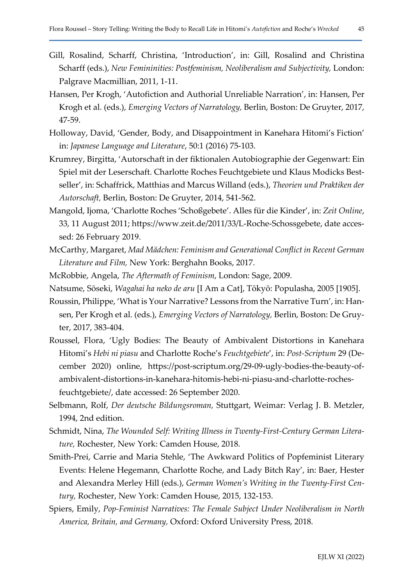- Gill, Rosalind, Scharff, Christina, 'Introduction', in: Gill, Rosalind and Christina Scharff (eds.), New Femininities: Postfeminism, Neoliberalism and Subjectivity, London: Palgrave Macmillian, 2011, 1-11.
- Hansen, Per Krogh, 'Autofiction and Authorial Unreliable Narration', in: Hansen, Per Krogh et al. (eds.), Emerging Vectors of Narratology, Berlin, Boston: De Gruyter, 2017, 47-59.
- Holloway, David, 'Gender, Body, and Disappointment in Kanehara Hitomi's Fiction' in: Japanese Language and Literature, 50:1 (2016) 75-103.
- Krumrey, Birgitta, 'Autorschaft in der fiktionalen Autobiographie der Gegenwart: Ein Spiel mit der Leserschaft. Charlotte Roches Feuchtgebiete und Klaus Modicks Bestseller', in: Schaffrick, Matthias and Marcus Willand (eds.), Theorien und Praktiken der Autorschaft, Berlin, Boston: De Gruyter, 2014, 541-562.
- Mangold, Ijoma, 'Charlotte Roches 'Schoßgebete'. Alles für die Kinder', in: Zeit Online, 33, 11 August 2011; https://www.zeit.de/2011/33/L-Roche-Schossgebete, date accessed: 26 February 2019.
- McCarthy, Margaret, Mad Mädchen: Feminism and Generational Conflict in Recent German Literature and Film, New York: Berghahn Books, 2017.
- McRobbie, Angela, The Aftermath of Feminism, London: Sage, 2009.
- Natsume, Sōseki, Wagahai ha neko de aru [I Am a Cat], Tōkyō: Populasha, 2005 [1905].
- Roussin, Philippe, 'What is Your Narrative? Lessons from the Narrative Turn', in: Hansen, Per Krogh et al. (eds.), Emerging Vectors of Narratology, Berlin, Boston: De Gruyter, 2017, 383-404.
- Roussel, Flora, 'Ugly Bodies: The Beauty of Ambivalent Distortions in Kanehara Hitomi's Hebi ni piasu and Charlotte Roche's Feuchtgebiete', in: Post-Scriptum 29 (December 2020) online, https://post-scriptum.org/29-09-ugly-bodies-the-beauty-ofambivalent-distortions-in-kanehara-hitomis-hebi-ni-piasu-and-charlotte-rochesfeuchtgebiete/, date accessed: 26 September 2020.
- Selbmann, Rolf, Der deutsche Bildungsroman, Stuttgart, Weimar: Verlag J. B. Metzler, 1994, 2nd edition.
- Schmidt, Nina, The Wounded Self: Writing Illness in Twenty-First-Century German Literature, Rochester, New York: Camden House, 2018.
- Smith-Prei, Carrie and Maria Stehle, 'The Awkward Politics of Popfeminist Literary Events: Helene Hegemann, Charlotte Roche, and Lady Bitch Ray', in: Baer, Hester and Alexandra Merley Hill (eds.), German Women's Writing in the Twenty-First Century, Rochester, New York: Camden House, 2015, 132-153.
- Spiers, Emily, Pop-Feminist Narratives: The Female Subject Under Neoliberalism in North America, Britain, and Germany, Oxford: Oxford University Press, 2018.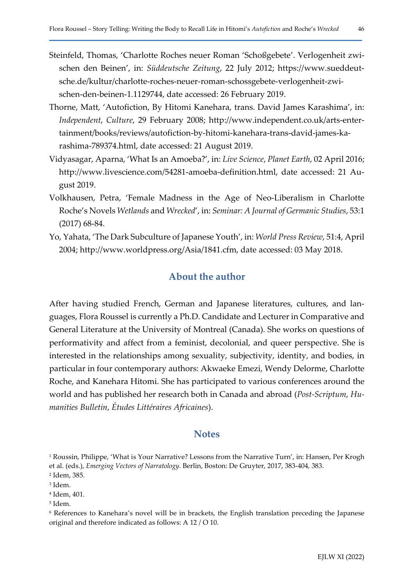- Steinfeld, Thomas, 'Charlotte Roches neuer Roman 'Schoßgebete'. Verlogenheit zwischen den Beinen', in: Süddeutsche Zeitung, 22 July 2012; https://www.sueddeutsche.de/kultur/charlotte-roches-neuer-roman-schossgebete-verlogenheit-zwischen-den-beinen-1.1129744, date accessed: 26 February 2019.
- Thorne, Matt, 'Autofiction, By Hitomi Kanehara, trans. David James Karashima', in: Independent, Culture, 29 February 2008; http://www.independent.co.uk/arts-entertainment/books/reviews/autofiction-by-hitomi-kanehara-trans-david-james-karashima-789374.html, date accessed: 21 August 2019.
- Vidyasagar, Aparna, 'What Is an Amoeba?', in: Live Science, Planet Earth, 02 April 2016; http://www.livescience.com/54281-amoeba-definition.html, date accessed: 21 August 2019.
- Volkhausen, Petra, 'Female Madness in the Age of Neo-Liberalism in Charlotte Roche's Novels Wetlands and Wrecked', in: Seminar: A Journal of Germanic Studies, 53:1 (2017) 68-84.
- Yo, Yahata, 'The Dark Subculture of Japanese Youth', in: World Press Review, 51:4, April 2004; http://www.worldpress.org/Asia/1841.cfm, date accessed: 03 May 2018.

#### About the author

After having studied French, German and Japanese literatures, cultures, and languages, Flora Roussel is currently a Ph.D. Candidate and Lecturer in Comparative and General Literature at the University of Montreal (Canada). She works on questions of performativity and affect from a feminist, decolonial, and queer perspective. She is interested in the relationships among sexuality, subjectivity, identity, and bodies, in particular in four contemporary authors: Akwaeke Emezi, Wendy Delorme, Charlotte Roche, and Kanehara Hitomi. She has participated to various conferences around the world and has published her research both in Canada and abroad (Post-Scriptum, Humanities Bulletin, Études Littéraires Africaines).

#### **Notes**

<sup>1</sup> Roussin, Philippe, 'What is Your Narrative? Lessons from the Narrative Turn', in: Hansen, Per Krogh et al. (eds.), Emerging Vectors of Narratology. Berlin, Boston: De Gruyter, 2017, 383-404, 383.

<sup>2</sup> Idem, 385.

<sup>3</sup> Idem.

<sup>4</sup> Idem, 401.

<sup>5</sup> Idem.

<sup>6</sup> References to Kanehara's novel will be in brackets, the English translation preceding the Japanese original and therefore indicated as follows: A 12 / O 10.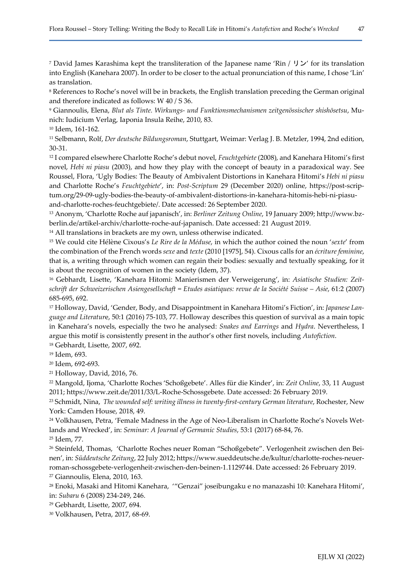<sup>7</sup> David James Karashima kept the transliteration of the Japanese name 'Rin /  $\mathsf{U} \mathcal{V}$ ' for its translation into English (Kanehara 2007). In order to be closer to the actual pronunciation of this name, I chose 'Lin' as translation.

8 References to Roche's novel will be in brackets, the English translation preceding the German original and therefore indicated as follows: W 40 / S 36.

9 Giannoulis, Elena, Blut als Tinte. Wirkungs- und Funktionsmechanismen zeitgenössischer shishōsetsu, Munich: Iudicium Verlag, Iaponia Insula Reihe, 2010, 83.

<sup>10</sup> Idem, 161-162.

<sup>11</sup> Selbmann, Rolf, Der deutsche Bildungsroman, Stuttgart, Weimar: Verlag J. B. Metzler, 1994, 2nd edition, 30-31.

<sup>12</sup> I compared elsewhere Charlotte Roche's debut novel, *Feuchtgebiete* (2008), and Kanehara Hitomi's first novel, Hebi ni piasu (2003), and how they play with the concept of beauty in a paradoxical way. See Roussel, Flora, 'Ugly Bodies: The Beauty of Ambivalent Distortions in Kanehara Hitomi's Hebi ni piasu and Charlotte Roche's Feuchtgebiete', in: Post-Scriptum 29 (December 2020) online, https://post-scriptum.org/29-09-ugly-bodies-the-beauty-of-ambivalent-distortions-in-kanehara-hitomis-hebi-ni-piasuand-charlotte-roches-feuchtgebiete/. Date accessed: 26 September 2020.

13 Anonym, 'Charlotte Roche auf japanisch', in: Berliner Zeitung Online, 19 January 2009; http://www.bzberlin.de/artikel-archiv/charlotte-roche-auf-japanisch. Date accessed: 21 August 2019.

<sup>14</sup> All translations in brackets are my own, unless otherwise indicated.

<sup>15</sup> We could cite Hélène Cixous's Le Rire de la Méduse, in which the author coined the noun 'sexte' from the combination of the French words sexe and texte (2010 [1975], 54). Cixous calls for an écriture feminine, that is, a writing through which women can regain their bodies: sexually and textually speaking, for it is about the recognition of women in the society (Idem, 37).

<sup>16</sup> Gebhardt, Lisette, 'Kanehara Hitomi: Manierismen der Verweigerung', in: Asiatische Studien: Zeitschrift der Schweizerischen Asiengesellschaft = Etudes asiatiques: revue de la Société Suisse – Asie, 61:2 (2007) 685-695, 692.

<sup>17</sup> Holloway, David, 'Gender, Body, and Disappointment in Kanehara Hitomi's Fiction', in: Japanese Language and Literature, 50:1 (2016) 75-103, 77. Holloway describes this question of survival as a main topic in Kanehara's novels, especially the two he analysed: *Snakes and Earrings* and *Hydra*. Nevertheless, I argue this motif is consistently present in the author's other first novels, including Autofiction. <sup>18</sup> Gebhardt, Lisette, 2007, 692.

<sup>19</sup> Idem, 693.

<sup>20</sup> Idem, 692-693.

<sup>21</sup> Holloway, David, 2016, 76.

<sup>22</sup> Mangold, Ijoma, 'Charlotte Roches 'Schoßgebete'. Alles für die Kinder', in: Zeit Online, 33, 11 August 2011; https://www.zeit.de/2011/33/L-Roche-Schossgebete. Date accessed: 26 February 2019.

<sup>23</sup> Schmidt, Nina, *The wounded self: writing illness in twenty-first-century German literature*, Rochester, New York: Camden House, 2018, 49.

24 Volkhausen, Petra, 'Female Madness in the Age of Neo-Liberalism in Charlotte Roche's Novels Wetlands and Wrecked', in: Seminar: A Journal of Germanic Studies, 53:1 (2017) 68-84, 76. <sup>25</sup> Idem, 77.

26 Steinfeld, Thomas, 'Charlotte Roches neuer Roman "Schoßgebete". Verlogenheit zwischen den Beinen', in: Süddeutsche Zeitung, 22 July 2012; https://www.sueddeutsche.de/kultur/charlotte-roches-neuerroman-schossgebete-verlogenheit-zwischen-den-beinen-1.1129744. Date accessed: 26 February 2019. <sup>27</sup> Giannoulis, Elena, 2010, 163.

<sup>28</sup> Enoki, Masaki and Hitomi Kanehara, '"Genzai" joseibungaku e no manazashi 10: Kanehara Hitomi', in: Subaru 6 (2008) 234-249, 246.

<sup>29</sup> Gebhardt, Lisette, 2007, 694.

30 Volkhausen, Petra, 2017, 68-69.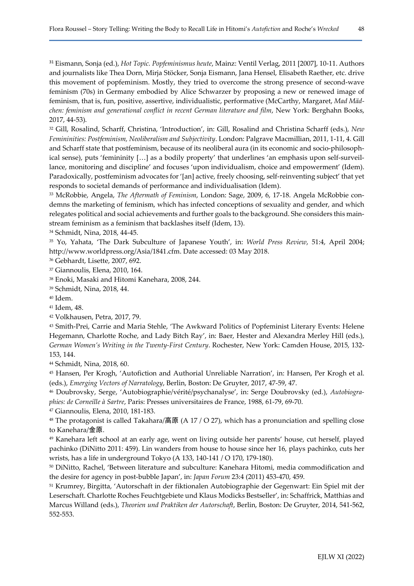<sup>31</sup> Eismann, Sonja (ed.), *Hot Topic. Popfeminismus heute*, Mainz: Ventil Verlag, 2011 [2007], 10-11. Authors and journalists like Thea Dorn, Mirja Stöcker, Sonja Eismann, Jana Hensel, Elisabeth Raether, etc. drive this movement of popfeminism. Mostly, they tried to overcome the strong presence of second-wave feminism (70s) in Germany embodied by Alice Schwarzer by proposing a new or renewed image of feminism, that is, fun, positive, assertive, individualistic, performative (McCarthy, Margaret, Mad Mädchen: feminism and generational conflict in recent German literature and film, New York: Berghahn Books, 2017, 44-53).

<sup>32</sup> Gill, Rosalind, Scharff, Christina, 'Introduction', in: Gill, Rosalind and Christina Scharff (eds.), New Femininities: Postfeminism, Neoliberalism and Subjectivity. London: Palgrave Macmillian, 2011, 1-11, 4. Gill and Scharff state that postfeminism, because of its neoliberal aura (in its economic and socio-philosophical sense), puts 'femininity […] as a bodily property' that underlines 'an emphasis upon self-surveillance, monitoring and discipline' and focuses 'upon individualism, choice and empowerment' (Idem). Paradoxically, postfeminism advocates for '[an] active, freely choosing, self-reinventing subject' that yet responds to societal demands of performance and individualisation (Idem).

33 McRobbie, Angela, The Aftermath of Feminism, London: Sage, 2009, 6, 17-18. Angela McRobbie condemns the marketing of feminism, which has infected conceptions of sexuality and gender, and which relegates political and social achievements and further goals to the background. She considers this mainstream feminism as a feminism that backlashes itself (Idem, 13).

<sup>34</sup> Schmidt, Nina, 2018, 44-45.

<sup>35</sup> Yo, Yahata, 'The Dark Subculture of Japanese Youth', in: World Press Review, 51:4, April 2004; http://www.worldpress.org/Asia/1841.cfm. Date accessed: 03 May 2018.

<sup>36</sup> Gebhardt, Lisette, 2007, 692.

<sup>37</sup> Giannoulis, Elena, 2010, 164.

<sup>38</sup> Enoki, Masaki and Hitomi Kanehara, 2008, 244.

<sup>39</sup> Schmidt, Nina, 2018, 44.

<sup>40</sup> Idem.

<sup>41</sup> Idem, 48.

<sup>42</sup> Volkhausen, Petra, 2017, 79.

<sup>43</sup> Smith-Prei, Carrie and Maria Stehle, 'The Awkward Politics of Popfeminist Literary Events: Helene Hegemann, Charlotte Roche, and Lady Bitch Ray', in: Baer, Hester and Alexandra Merley Hill (eds.), German Women's Writing in the Twenty-First Century. Rochester, New York: Camden House, 2015, 132- 153, 144.

<sup>44</sup> Schmidt, Nina, 2018, 60.

<sup>45</sup> Hansen, Per Krogh, 'Autofiction and Authorial Unreliable Narration', in: Hansen, Per Krogh et al. (eds.), Emerging Vectors of Narratology, Berlin, Boston: De Gruyter, 2017, 47-59, 47.

46 Doubrovsky, Serge, 'Autobiographie/vérité/psychanalyse', in: Serge Doubrovsky (ed.), Autobiographies: de Corneille à Sartre, Paris: Presses universitaires de France, 1988, 61-79, 69-70.

<sup>47</sup> Giannoulis, Elena, 2010, 181-183.

<sup>48</sup> The protagonist is called Takahara/高原 (A 17 / O 27), which has a pronunciation and spelling close to Kanehara/金原.

<sup>49</sup> Kanehara left school at an early age, went on living outside her parents' house, cut herself, played pachinko (DiNitto 2011: 459). Lin wanders from house to house since her 16, plays pachinko, cuts her wrists, has a life in underground Tokyo (A 133, 140-141 / O 170, 179-180).

<sup>50</sup> DiNitto, Rachel, 'Between literature and subculture: Kanehara Hitomi, media commodification and the desire for agency in post-bubble Japan', in: Japan Forum 23:4 (2011) 453-470, 459.

<sup>51</sup> Krumrey, Birgitta, 'Autorschaft in der fiktionalen Autobiographie der Gegenwart: Ein Spiel mit der Leserschaft. Charlotte Roches Feuchtgebiete und Klaus Modicks Bestseller', in: Schaffrick, Matthias and Marcus Willand (eds.), Theorien und Praktiken der Autorschaft, Berlin, Boston: De Gruyter, 2014, 541-562, 552-553.